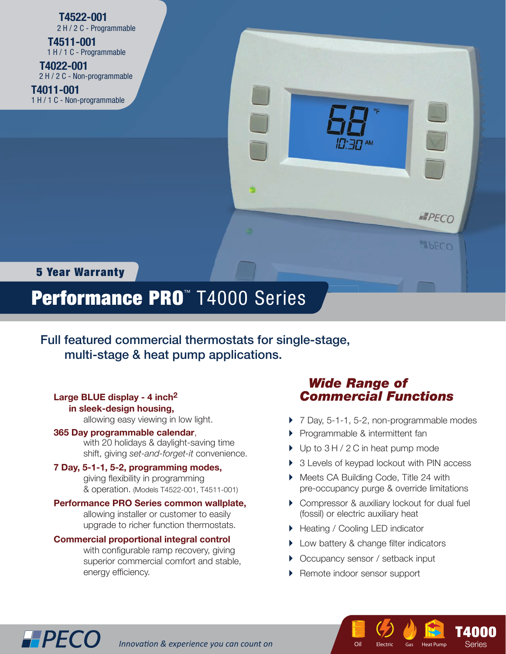**T4522-001** 2 H / 2 C - Programmable

 **T4511-001** 1 H / 1 C - Programmable

 **T4022-001** 2 H / 2 C - Non-programmable **T4011-001**

1 H / 1 C - Non-programmable



### 5 Year Warranty

**HPECO** 

# Performance PRO™ T4000 Series

Full featured commercial thermostats for single-stage, multi-stage & heat pump applications.

#### **Large BLUE display - 4 inch2 in sleek-design housing,**

allowing easy viewing in low light.

#### **365 Day programmable calendar**,

 with 20 holidays & daylight-saving time shift, giving *set-and-forget-it* convenience.

#### **7 Day, 5-1-1, 5-2, programming modes,**

giving flexibility in programming & operation. (Models T4522-001, T4511-001)

**Performance PRO Series common wallplate,** allowing installer or customer to easily upgrade to richer function thermostats.

#### **Commercial proportional integral control**

with configurable ramp recovery, giving superior commercial comfort and stable, energy efficiency.

## *Wide Range of Commercial Functions*

- ▶ 7 Day, 5-1-1, 5-2, non-programmable modes
- **Programmable & intermittent fan**
- ▶ Up to 3 H / 2 C in heat pump mode
- ▶ 3 Levels of keypad lockout with PIN access
- ▶ Meets CA Building Code, Title 24 with pre-occupancy purge & override limitations
- ▶ Compressor & auxiliary lockout for dual fuel (fossil) or electric auxiliary heat

**T**2502  $E$ lectric Gas

Oil Electric Gas Heat Pump

**T4000** Series Series

- ▶ Heating / Cooling LED indicator
- **Low battery & change filter indicators**
- ▶ Occupancy sensor / setback input
- ▶ Remote indoor sensor support

**Innovation & experience you can count on**